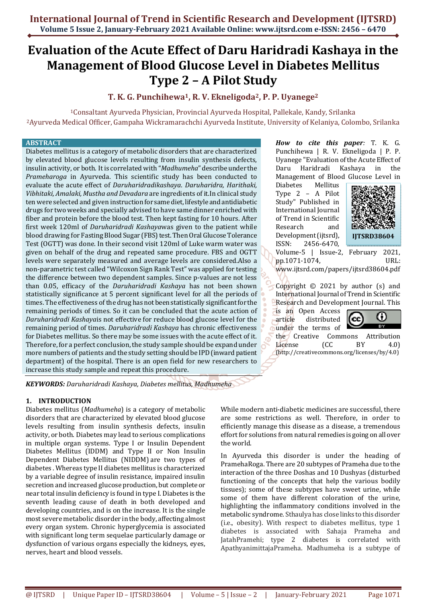# **Evaluation of the Acute Effect of Daru Haridradi Kashaya in the Management of Blood Glucose Level in Diabetes Mellitus Type 2 – A Pilot Study**

**T. K. G. Punchihewa1, R. V. Ekneligoda2, P. P. Uyanege<sup>2</sup>**

<sup>1</sup>Consaltant Ayurveda Physician, Provincial Ayurveda Hospital, Pallekale, Kandy, Srilanka <sup>2</sup>Ayurveda Medical Officer, Gampaha Wickramarachchi Ayurveda Institute, University of Kelaniya, Colombo, Srilanka

#### **ABSTRACT**

Diabetes mellitus is a category of metabolic disorders that are characterized by elevated blood glucose levels resulting from insulin synthesis defects, insulin activity, or both. It is correlated with "*Madhumeha*" describe under the *Prameharoga* in Ayurveda. This scientific study has been conducted to evaluate the acute effect of *Daruharidradikashaya*. *Daruharidra, Harithaki, Vibhitaki, Amalaki, Mustha and Devadara* are ingredients of it.In clinical study ten were selected and given instruction for same diet, lifestyle and antidiabetic drugs for two weeks and specially advised to have same dinner enriched with fiber and protein before the blood test. Then kept fasting for 10 hours. After first week 120ml of *Daruharidradi Kashaya*was given to the patient while blood drawing for Fasting Blood Sugar (FBS) test. Then Oral Glucose Tolerance Test (OGTT) was done. In their second visit 120ml of Luke warm water was given on behalf of the drug and repeated same procedure. FBS and OGTT levels were separately measured and average levels are considered.Also a non-parametric test called "Wilcoxon Sign Rank Test" was applied for testing the difference between two dependent samples. Since p-values are not less than 0.05, efficacy of the *Daruharidradi Kashaya* has not been shown statistically significance at 5 percent significant level for all the periods of times. The effectiveness of the drug has not been statistically significant for the remaining periods of times. So it can be concluded that the acute action of *Daruharidradi Kashaya*is not effective for reduce blood glucose level for the remaining period of times. *Daruharidradi Kashaya* has chronic effectiveness for Diabetes mellitus. So there may be some issues with the acute effect of it. Therefore, for a perfect conclusion, the study sample should be expand under more numbers of patients and the study setting should be IPD (inward patient department) of the hospital. There is an open field for new researchers to increase this study sample and repeat this procedure.

*KEYWORDS: Daruharidradi Kashaya, Diabetes mellitus, Madhumeha* 

# **1. INTRODUCTION**

Diabetes mellitus (*Madhumeha*) is a category of metabolic disorders that are characterized by elevated blood glucose levels resulting from insulin synthesis defects, insulin activity, or both. Diabetes may lead to serious complications in multiple organ systems. Type I or Insulin Dependent Diabetes Mellitus (IDDM) and Type II or Non Insulin Dependent Diabetes Mellitus (NIDDM) are two types of diabetes . Whereas type II diabetes mellitus is characterized by a variable degree of insulin resistance, impaired insulin secretion and increased glucose production, but complete or near total insulin deficiency is found in type I. Diabetes is the seventh leading cause of death in both developed and developing countries, and is on the increase. It is the single most severe metabolic disorder in the body, affecting almost every organ system. Chronic hyperglycemia is associated with significant long term sequelae particularly damage or dysfunction of various organs especially the kidneys, eyes, nerves, heart and blood vessels.

*How to cite this paper:* T. K. G. Punchihewa | R. V. Ekneligoda | P. P. Uyanege "Evaluation of the Acute Effect of Daru Haridradi Kashaya in the Management of Blood Glucose Level in

Diabetes Mellitus Type 2 – A Pilot Study" Published in International Journal of Trend in Scientific Research and Development (ijtsrd), ISSN: 2456-6470,



Volume-5 | Issue-2, February 2021, pp.1071-1074, URL:

www.ijtsrd.com/papers/ijtsrd38604.pdf

Copyright  $\odot$  2021 by author (s) and International Journal of Trend in Scientific Research and Development Journal. This

is an Open Access article distributed under the terms of



the Creative Commons Attribution License (CC BY 4.0) (http://creativecommons.org/licenses/by/4.0)

While modern anti-diabetic medicines are successful, there are some restrictions as well. Therefore, in order to efficiently manage this disease as a disease, a tremendous effort for solutions from natural remedies is going on all over the world.

In Ayurveda this disorder is under the heading of PramehaRoga. There are 20 subtypes of Prameha due to the interaction of the three Doshas and 10 Dushyas (disturbed functioning of the concepts that help the various bodily tissues); some of these subtypes have sweet urine, while some of them have different coloration of the urine, highlighting the inflammatory conditions involved in the metabolic syndrome. Sthaulya has close links to this disorder (i.e., obesity). With respect to diabetes mellitus, type 1 diabetes is associated with Sahaja Prameha and JatahPramehi; type 2 diabetes is correlated with ApathyanimittajaPrameha. Madhumeha is a subtype of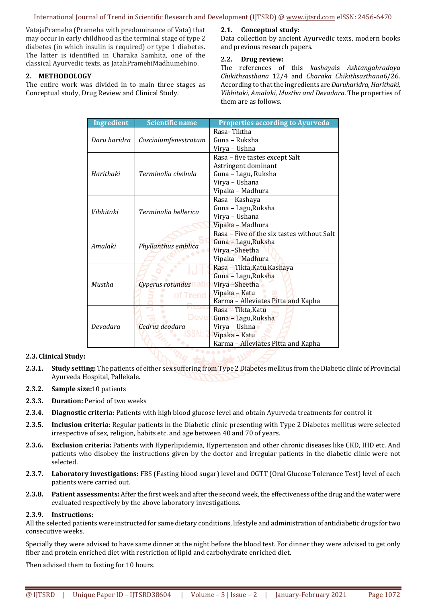#### International Journal of Trend in Scientific Research and Development (IJTSRD) @ www.ijtsrd.com eISSN: 2456-6470

VatajaPrameha (Prameha with predominance of Vata) that may occur in early childhood as the terminal stage of type 2 diabetes (in which insulin is required) or type 1 diabetes. The latter is identified in Charaka Samhita, one of the classical Ayurvedic texts, as JatahPramehiMadhumehino.

# **2. METHODOLOGY**

The entire work was divided in to main three stages as Conceptual study, Drug Review and Clinical Study.

## **2.1. Conceptual study:**

Data collection by ancient Ayurvedic texts, modern books and previous research papers.

## **2.2. Drug review:**

The references of this *kashaya*is *Ashtangahradaya Chikithsasthana* 12/4 and *Charaka Chikithsasthana*6/26. According to that the ingredients are *Daruharidra, Harithaki, Vibhitaki, Amalaki, Mustha and Devadara*. The properties of them are as follows.

| <b>Ingredient</b> | <b>Scientific name</b>             | <b>Properties according to Ayurveda</b>    |
|-------------------|------------------------------------|--------------------------------------------|
| Daru haridra      | Cosciniumfenestratum               | Rasa-Tiktha                                |
|                   |                                    | Guna – Ruksha                              |
|                   |                                    | Virya – Ushna                              |
| Harithaki         | Terminalia chebula                 | Rasa - five tastes except Salt             |
|                   |                                    | Astringent dominant                        |
|                   |                                    | Guna - Lagu, Ruksha                        |
|                   |                                    | Virya - Ushana                             |
|                   |                                    | Vipaka - Madhura                           |
| Vibhitaki         | Terminalia bellerica               | Rasa - Kashaya                             |
|                   |                                    | Guna - Lagu, Ruksha                        |
|                   |                                    | Virya - Ushana                             |
|                   |                                    | Vipaka - Madhura                           |
| Amalaki           | Phyllanthus emblica                | Rasa – Five of the six tastes without Salt |
|                   |                                    | Guna - Lagu, Ruksha                        |
|                   |                                    | Virya-Sheetha                              |
|                   |                                    | Vipaka – Madhura                           |
| Mustha            | Cyperus rotundus natio<br>of Trend | Rasa - Tikta, Katu. Kashaya                |
|                   |                                    | Guna - Lagu, Ruksha                        |
|                   |                                    | Virya-Sheetha                              |
|                   |                                    | Vipaka - Katu                              |
|                   |                                    | Karma - Alleviates Pitta and Kapha         |
| Devadara          | Deve<br>Cedrus deodara             | Rasa - Tikta, Katu                         |
|                   |                                    | Guna - Lagu, Ruksha                        |
|                   |                                    | Virya - Ushna                              |
|                   |                                    | Vipaka - Katu                              |
|                   |                                    | Karma - Alleviates Pitta and Kapha         |

# **2.3. Clinical Study:**

- **2.3.1. Study setting:** The patients of either sex suffering from Type 2 Diabetes mellitus from the Diabetic clinic of Provincial Ayurveda Hospital, Pallekale.
- **2.3.2. Sample size:**10 patients
- **2.3.3. Duration:** Period of two weeks
- **2.3.4. Diagnostic criteria:** Patients with high blood glucose level and obtain Ayurveda treatments for control it
- **2.3.5. Inclusion criteria:** Regular patients in the Diabetic clinic presenting with Type 2 Diabetes mellitus were selected irrespective of sex, religion, habits etc. and age between 40 and 70 of years.
- **2.3.6. Exclusion criteria:** Patients with Hyperlipidemia, Hypertension and other chronic diseases like CKD, IHD etc. And patients who disobey the instructions given by the doctor and irregular patients in the diabetic clinic were not selected.
- **2.3.7. Laboratory investigations:** FBS (Fasting blood sugar) level and OGTT (Oral Glucose Tolerance Test) level of each patients were carried out.
- **2.3.8. Patient assessments:** After the first week and after the second week, the effectiveness of the drug and the water were evaluated respectively by the above laboratory investigations.

#### **2.3.9. Instructions:**

All the selected patients were instructed for same dietary conditions, lifestyle and administration of antidiabetic drugs for two consecutive weeks.

Specially they were advised to have same dinner at the night before the blood test. For dinner they were advised to get only fiber and protein enriched diet with restriction of lipid and carbohydrate enriched diet.

Then advised them to fasting for 10 hours.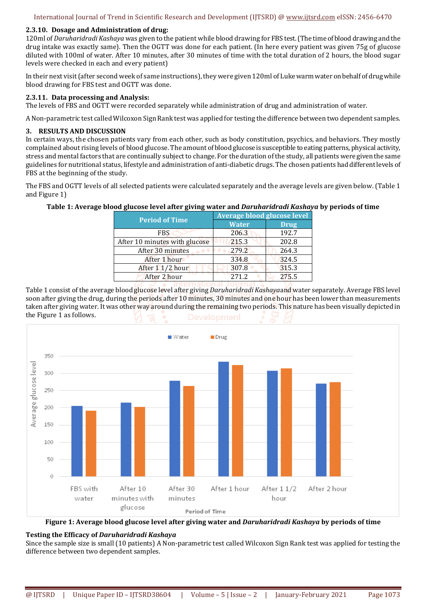## **2.3.10. Dosage and Administration of drug:**

120ml of *Daruharidradi Kashaya* was given to the patient while blood drawing for FBS test. (The time of blood drawing and the drug intake was exactly same). Then the OGTT was done for each patient. (In here every patient was given 75g of glucose diluted with 100ml of water. After 10 minutes, after 30 minutes of time with the total duration of 2 hours, the blood sugar levels were checked in each and every patient)

In their next visit (after second week of same instructions), they were given 120ml of Luke warm water on behalf of drug while blood drawing for FBS test and OGTT was done.

## **2.3.11. Data processing and Analysis:**

The levels of FBS and OGTT were recorded separately while administration of drug and administration of water.

A Non-parametric test called Wilcoxon Sign Rank test was applied for testing the difference between two dependent samples.

#### **3. RESULTS AND DISCUSSION**

In certain ways, the chosen patients vary from each other, such as body constitution, psychics, and behaviors. They mostly complained about rising levels of blood glucose. The amount of blood glucose is susceptible to eating patterns, physical activity, stress and mental factors that are continually subject to change. For the duration of the study, all patients were given the same guidelines for nutritional status, lifestyle and administration of anti-diabetic drugs. The chosen patients had different levels of FBS at the beginning of the study.

The FBS and OGTT levels of all selected patients were calculated separately and the average levels are given below. (Table 1 and Figure 1)

# **Table 1: Average blood glucose level after giving water and** *Daruharidradi Kashaya* **by periods of time**

| <b>Period of Time</b>         | Average blood glucose level |             |
|-------------------------------|-----------------------------|-------------|
|                               | <b>Water</b>                | <b>Drug</b> |
| <b>FBS</b>                    | 206.3                       | 192.7       |
| After 10 minutes with glucose | 215.3                       | 202.8       |
| After 30 minutes              | 279.2                       | 264.3       |
| After 1 hour                  | 334.8                       | 324.5       |
| After 1 1/2 hour              | 307.8                       | 315.3       |
| After 2 hour                  | 271.2                       | 275.5       |

Table 1 consist of the average blood glucose level after giving *Daruharidradi Kashaya*and water separately. Average FBS level soon after giving the drug, during the periods after 10 minutes, 30 minutes and one hour has been lower than measurements taken after giving water. It was other way around during the remaining two periods. This nature has been visually depicted in the Figure 1 as follows.





#### **Testing the Efficacy of** *Daruharidradi Kashaya*

Since the sample size is small (10 patients) A Non-parametric test called Wilcoxon Sign Rank test was applied for testing the difference between two dependent samples.